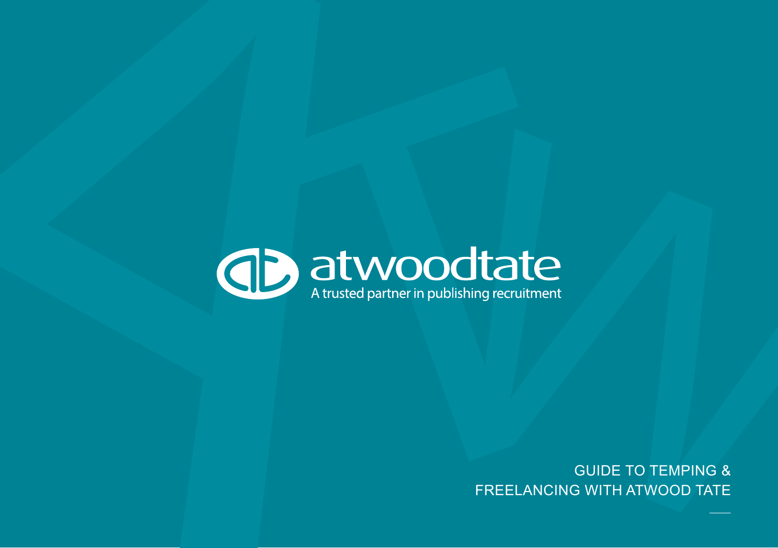

GUIDE TO TEMPING & FREELANCING WITH ATWOOD TATE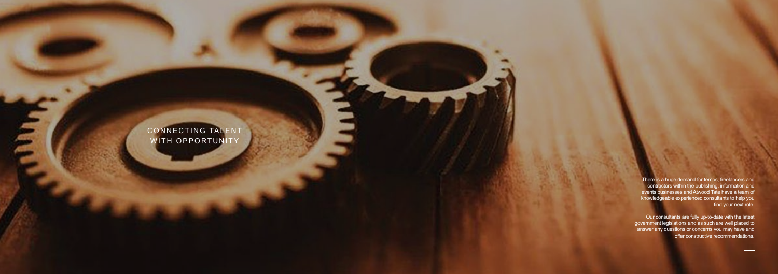There is a huge demand for temps, freelancers and contractors within the publishing, information and events businesses and Atwood Tate have a team of knowledgeable experienced consultants to help you find your next role.

Our consultants are fully up-to-date with the latest government legislations and as such are well placed to answer any questions or concerns you may have and offer constructive recommendations.

CONNECTING TALENT WITH OPPORTUNITY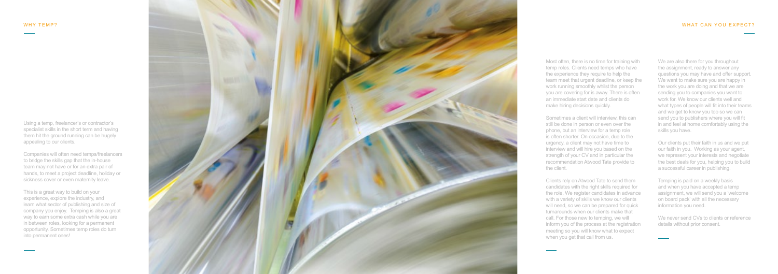Using a temp, freelancer's or contractor's specialist skills in the short term and having them hit the ground running can be hugely appealing to our clients.

Companies will often need temps/freelancers to bridge the skills gap that the in-house team may not have or for an extra pair of hands, to meet a project deadline, holiday or sickness cover or even maternity leave.

This is a great way to build on your experience, explore the industry, and learn what sector of publishing and size of company you enjoy. Temping is also a great way to earn some extra cash while you are in between roles, looking for a permanent opportunity. Sometimes temp roles do turn into permanent ones!



Most often, there is no time for training with temp roles. Clients need temps who have the experience they require to help the team meet that urgent deadline, or keep the work running smoothly whilst the person you are covering for is away. There is often an immediate start date and clients do

make hiring decisions quickly.

Sometimes a client will interview, this can still be done in person or even over the phone, but an interview for a temp role is often shorter. On occasion, due to the urgency, a client may not have time to interview and will hire you based on the strength of your CV and in particular the recommendation Atwood Tate provide to

> We never send CVs to clients or reference details without prior consent.

the client.

Clients rely on Atwood Tate to send them candidates with the right skills required for the role. We register candidates in advance with a variety of skills we know our clients will need, so we can be prepared for quick turnarounds when our clients make that call. For those new to temping, we will inform you of the process at the registration meeting so you will know what to expect when you get that call from us.

We are also there for you throughout the assignment, ready to answer any questions you may have and offer support. We want to make sure you are happy in the work you are doing and that we are sending you to companies you want to work for. We know our clients well and what types of people will fit into their teams and we get to know you too so we can send you to publishers where you will fit in and feel at home comfortably using the skills you have.

Our clients put their faith in us and we put our faith in you. Working as your agent, we represent your interests and negotiate the best deals for you, helping you to build a successful career in publishing.

Temping is paid on a weekly basis and when you have accepted a temp assignment, we will send you a 'welcome on board pack' with all the necessary information you need.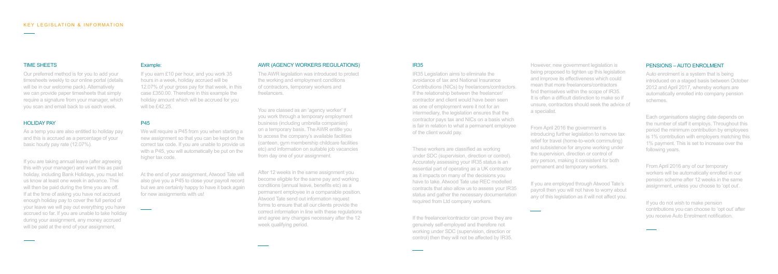However, new government legislation is being proposed to tighten up this legislation and improve its effectiveness which could mean that more freelancers/contractors find themselves within the scope of IR35. It is often a difficult distinction to make so if unsure, contractors should seek the advice of a specialist.

From April 2016 the government is introducing further legislation to remove tax relief for travel (home-to-work commuting) and subsistence for anyone working under the supervision, direction or control of any person, making it consistent for both permanent and temporary workers.

If you are employed through Atwood Tate's payroll then you will not have to worry about any of this legislation as it will not affect you.

## PENSIONS – AUTO ENROLMENT

Auto enrolment is a system that is being introduced on a staged basis between October 2012 and April 2017, whereby workers are automatically enrolled into company pension schemes.

If you are taking annual leave (after agreeing this with your manager) and want this as paid holiday, including Bank Holidays, you must let us know at least one week in advance. This will then be paid during the time you are off. If at the time of asking you have not accrued enough holiday pay to cover the full period of your leave we will pay out everything you have accrued so far. If you are unable to take holiday during your assignment, any money accrued will be paid at the end of your assignment.

Each organisations staging date depends on the number of staff it employs. Throughout this period the minimum contribution by employees is 1% contribution with employers matching this 1% payment. This is set to increase over the following years.

From April 2016 any of our temporary workers will be automatically enrolled in our pension scheme after 12 weeks in the same assignment, unless you choose to 'opt out'.

If you do not wish to make pension contributions you can choose to 'opt out' after you receive Auto Enrolment notification.

We will require a P45 from you when starting a new assignment so that you can be kept on the correct tax code. If you are unable to provide us with a P45, you will automatically be put on the higher tax code.

#### TIME SHEETS

Our preferred method is for you to add your timesheets weekly to our online portal (details will be in our welcome pack). Alternatively we can provide paper timesheets that simply require a signature from your manager, which you scan and email back to us each week.

## HOLIDAY PAY

As a temp you are also entitled to holiday pay and this is accrued as a percentage of your basic hourly pay rate (12.07%).

#### Example:

If you earn £10 per hour, and you work 35 hours in a week, holiday accrued will be 12.07% of your gross pay for that week, in this case £350.00. Therefore in this example the holiday amount which will be accrued for you will be £42.25.

## P45

At the end of your assignment, Atwood Tate will also give you a P45 to close your payroll record but we are certainly happy to have it back again for new assignments with us!

#### AWR (AGENCY WORKERS REGULATIONS)

The AWR legislation was introduced to protect the working and employment conditions of contractors, temporary workers and freelancers.

You are classed as an 'agency worker' if you work through a temporary employment business (including umbrella companies) on a temporary basis. The AWR entitle you to access the company's available facilities (canteen, gym membership childcare facilities etc) and information on suitable job vacancies from day one of your assignment.

After 12 weeks in the same assignment you become eligible for the same pay and working conditions (annual leave, benefits etc) as a permanent employee in a comparable position. Atwood Tate send out information request forms to ensure that all our clients provide the correct information in line with these regulations and agree any changes necessary after the 12 week qualifying period.

# IR35

IR35 Legislation aims to eliminate the avoidance of tax and National Insurance Contributions (NICs) by freelancers/contractors. If the relationship between the freelancer/ contractor and client would have been seen as one of employment were it not for an intermediary, the legislation ensures that the contractor pays tax and NICs on a basis which is fair in relation to what a permanent employee of the client would pay.

These workers are classified as working under SDC (supervision, direction or control). Accurately assessing your IR35 status is an essential part of operating as a UK contractor as it impacts on many of the decisions you have to take. Atwood Tate use REC modelled contracts that also allow us to assess your IR35 status and gather the necessary documentation required from Ltd company workers.

If the freelancer/contractor can prove they are genuinely self-employed and therefore not working under SDC (supervision, direction or control) then they will not be affected by IR35.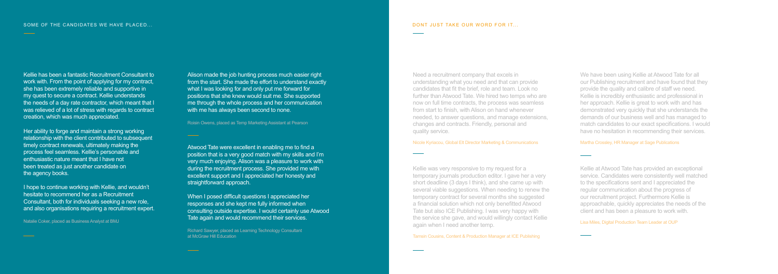Kellie has been a fantastic Recruitment Consultant to work with. From the point of applying for my contract, she has been extremely reliable and supportive in my quest to secure a contract. Kellie understands the needs of a day rate contractor, which meant that I was relieved of a lot of stress with regards to contract creation, which was much appreciated.

Alison made the job hunting process much easier right from the start. She made the effort to understand exactly what I was looking for and only put me forward for positions that she knew would suit me. She supported me through the whole process and her communication with me has always been second to none.

Her ability to forge and maintain a strong working relationship with the client contributed to subsequent timely contract renewals, ultimately making the process feel seamless. Kellie's personable and enthusiastic nature meant that I have not been treated as just another candidate on the agency books.

I hope to continue working with Kellie, and wouldn't hesitate to recommend her as a Recruitment Consultant, both for individuals seeking a new role, and also organisations requiring a recruitment expert.

When I posed difficult questions I appreciated her responses and she kept me fully informed when consulting outside expertise. I would certainly use Atwood Tate again and would recommend their services.

Natalie Coker, placed as Business Analyst at BMJ

Roisin Owens, placed as Temp Marketing Assistant at Pearson

Atwood Tate were excellent in enabling me to find a position that is a very good match with my skills and I'm very much enjoying. Alison was a pleasure to work with during the recruitment process. She provided me with excellent support and I appreciated her honesty and straightforward approach.

Richard Sawyer, placed as Learning Technology Consultant at McGraw Hill Education

#### DONT JUST TAKE OUR WORD FOR IT...

Kellie at Atwood Tate has provided an exceptional service. Candidates were consistently well matched to the specifications sent and I appreciated the regular communication about the progress of our recruitment project. Furthermore Kellie is approachable, quickly appreciates the needs of the client and has been a pleasure to work with.

Lisa Miles, Digital Production Team Leader at OUP

Kellie was very responsive to my request for a temporary journals production editor. I gave her a very short deadline (3 days I think), and she came up with several viable suggestions. When needing to renew the temporary contract for several months she suggested a financial solution which not only benefitted Atwood Tate but also ICE Publishing. I was very happy with the service she gave, and would willingly contact Kellie again when I need another temp.

Tamsin Cousins, Content & Production Manager at ICE Publishing

We have been using Kellie at Atwood Tate for all our Publishing recruitment and have found that they provide the quality and calibre of staff we need. Kellie is incredibly enthusiastic and professional in her approach. Kellie is great to work with and has demonstrated very quickly that she understands the demands of our business well and has managed to match candidates to our exact specifications. I would have no hesitation in recommending their services.

Martha Crossley, HR Manager at Sage Publications

Need a recruitment company that excels in understanding what you need and that can provide candidates that fit the brief, role and team. Look no further than Atwood Tate. We hired two temps who are now on full time contracts, the process was seamless from start to finish, with Alison on hand whenever needed, to answer questions, and manage extensions, changes and contracts. Friendly, personal and quality service.

Nicole Kyriacou, Global Elt Director Marketing & Communications